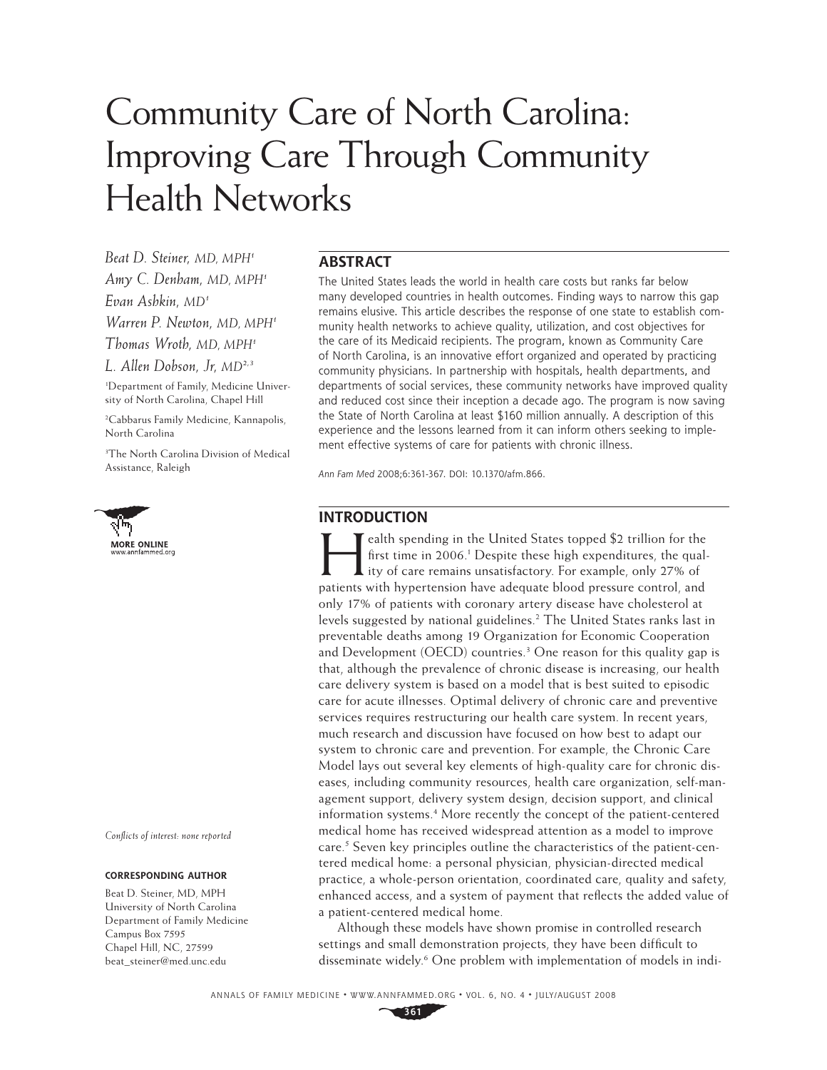# Community Care of North Carolina: Improving Care Through Community Health Networks

*Beat D. Steiner, MD, MPH1 Amy C. Denham, MD, MPH1 Evan Ashkin, MD1 Warren P. Newton, MD, MPH1 Thomas Wroth, MD, MPH1 L. Allen Dobson, Jr, MD2,3*

1 Department of Family, Medicine University of North Carolina, Chapel Hill

2 Cabbarus Family Medicine, Kannapolis, North Carolina

3 The North Carolina Division of Medical Assistance, Raleigh



*Confl icts of interest: none reported*

#### **CORRESPONDING AUTHOR**

Beat D. Steiner, MD, MPH University of North Carolina Department of Family Medicine Campus Box 7595 Chapel Hill, NC, 27599 beat\_steiner@med.unc.edu

## **ABSTRACT**

The United States leads the world in health care costs but ranks far below many developed countries in health outcomes. Finding ways to narrow this gap remains elusive. This article describes the response of one state to establish community health networks to achieve quality, utilization, and cost objectives for the care of its Medicaid recipients. The program, known as Community Care of North Carolina, is an innovative effort organized and operated by practicing community physicians. In partnership with hospitals, health departments, and departments of social services, these community networks have improved quality and reduced cost since their inception a decade ago. The program is now saving the State of North Carolina at least \$160 million annually. A description of this experience and the lessons learned from it can inform others seeking to implement effective systems of care for patients with chronic illness.

Ann Fam Med 2008;6:361-367. DOI: 10.1370/afm.866.

## **INTRODUCTION**

Example 1 and the States topped \$2 trillion for the<br>first time in 2006.<sup>1</sup> Despite these high expenditures, the qual-<br>ity of care remains unsatisfactory. For example, only 27% of<br>**particular in the bunetion is buy adopted** first time in 2006.<sup>1</sup> Despite these high expenditures, the qual-Ity of care remains unsatisfactory. For example, only 27% of patients with hypertension have adequate blood pressure control, and only 17% of patients with coronary artery disease have cholesterol at levels suggested by national guidelines.2 The United States ranks last in preventable deaths among 19 Organization for Economic Cooperation and Development (OECD) countries.<sup>3</sup> One reason for this quality gap is that, although the prevalence of chronic disease is increasing, our health care delivery system is based on a model that is best suited to episodic care for acute illnesses. Optimal delivery of chronic care and preventive services requires restructuring our health care system. In recent years, much research and discussion have focused on how best to adapt our system to chronic care and prevention. For example, the Chronic Care Model lays out several key elements of high-quality care for chronic diseases, including community resources, health care organization, self-management support, delivery system design, decision support, and clinical information systems.4 More recently the concept of the patient-centered medical home has received widespread attention as a model to improve care.<sup>5</sup> Seven key principles outline the characteristics of the patient-centered medical home: a personal physician, physician-directed medical practice, a whole-person orientation, coordinated care, quality and safety, enhanced access, and a system of payment that reflects the added value of a patient-centered medical home.

Although these models have shown promise in controlled research settings and small demonstration projects, they have been difficult to disseminate widely.<sup>6</sup> One problem with implementation of models in indi-

ANNALS OF FAMILY MEDICINE ✦ WWW.ANNFAMMED.ORG ✦ VOL. 6, NO. 4 ✦ JULY/AUGUST 2008

**361**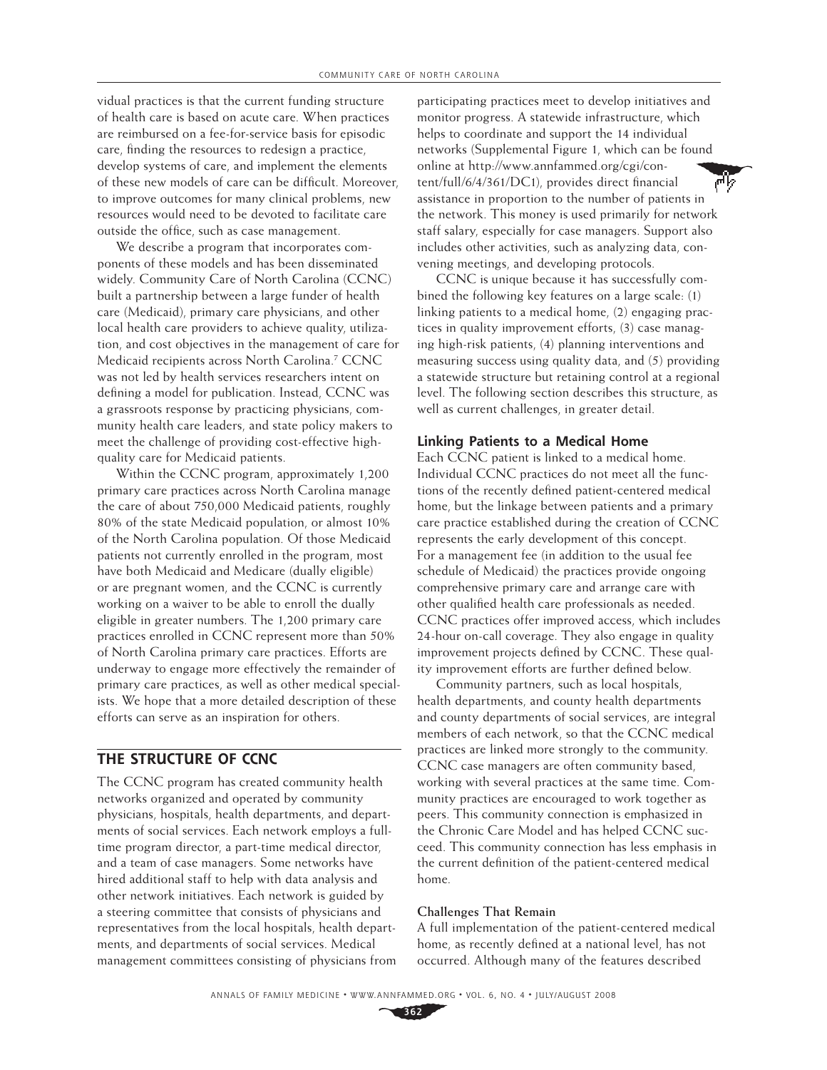vidual practices is that the current funding structure of health care is based on acute care. When practices are reimbursed on a fee-for-service basis for episodic care, finding the resources to redesign a practice, develop systems of care, and implement the elements of these new models of care can be difficult. Moreover, to improve outcomes for many clinical problems, new resources would need to be devoted to facilitate care outside the office, such as case management.

We describe a program that incorporates components of these models and has been disseminated widely. Community Care of North Carolina (CCNC) built a partnership between a large funder of health care (Medicaid), primary care physicians, and other local health care providers to achieve quality, utilization, and cost objectives in the management of care for Medicaid recipients across North Carolina.7 CCNC was not led by health services researchers intent on defining a model for publication. Instead, CCNC was a grassroots response by practicing physicians, community health care leaders, and state policy makers to meet the challenge of providing cost-effective highquality care for Medicaid patients.

Within the CCNC program, approximately 1,200 primary care practices across North Carolina manage the care of about 750,000 Medicaid patients, roughly 80% of the state Medicaid population, or almost 10% of the North Carolina population. Of those Medicaid patients not currently enrolled in the program, most have both Medicaid and Medicare (dually eligible) or are pregnant women, and the CCNC is currently working on a waiver to be able to enroll the dually eligible in greater numbers. The 1,200 primary care practices enrolled in CCNC represent more than 50% of North Carolina primary care practices. Efforts are underway to engage more effectively the remainder of primary care practices, as well as other medical specialists. We hope that a more detailed description of these efforts can serve as an inspiration for others.

## **THE STRUCTURE OF CCNC**

The CCNC program has created community health networks organized and operated by community physicians, hospitals, health departments, and departments of social services. Each network employs a fulltime program director, a part-time medical director, and a team of case managers. Some networks have hired additional staff to help with data analysis and other network initiatives. Each network is guided by a steering committee that consists of physicians and representatives from the local hospitals, health departments, and departments of social services. Medical management committees consisting of physicians from

participating practices meet to develop initiatives and monitor progress. A statewide infrastructure, which helps to coordinate and support the 14 individual networks (Supplemental Figure 1, which can be found online at http://www.annfammed.org/cgi/con-祠乡 tent/full/6/4/361/DC1), provides direct financial assistance in proportion to the number of patients in the network. This money is used primarily for network staff salary, especially for case managers. Support also includes other activities, such as analyzing data, convening meetings, and developing protocols.

CCNC is unique because it has successfully combined the following key features on a large scale: (1) linking patients to a medical home, (2) engaging practices in quality improvement efforts, (3) case managing high-risk patients, (4) planning interventions and measuring success using quality data, and (5) providing a statewide structure but retaining control at a regional level. The following section describes this structure, as well as current challenges, in greater detail.

#### **Linking Patients to a Medical Home**

Each CCNC patient is linked to a medical home. Individual CCNC practices do not meet all the functions of the recently defined patient-centered medical home, but the linkage between patients and a primary care practice established during the creation of CCNC represents the early development of this concept. For a management fee (in addition to the usual fee schedule of Medicaid) the practices provide ongoing comprehensive primary care and arrange care with other qualified health care professionals as needed. CCNC practices offer improved access, which includes 24-hour on-call coverage. They also engage in quality improvement projects defined by CCNC. These quality improvement efforts are further defined below.

Community partners, such as local hospitals, health departments, and county health departments and county departments of social services, are integral members of each network, so that the CCNC medical practices are linked more strongly to the community. CCNC case managers are often community based, working with several practices at the same time. Community practices are encouraged to work together as peers. This community connection is emphasized in the Chronic Care Model and has helped CCNC succeed. This community connection has less emphasis in the current definition of the patient-centered medical home.

#### **Challenges That Remain**

A full implementation of the patient-centered medical home, as recently defined at a national level, has not occurred. Although many of the features described

**362**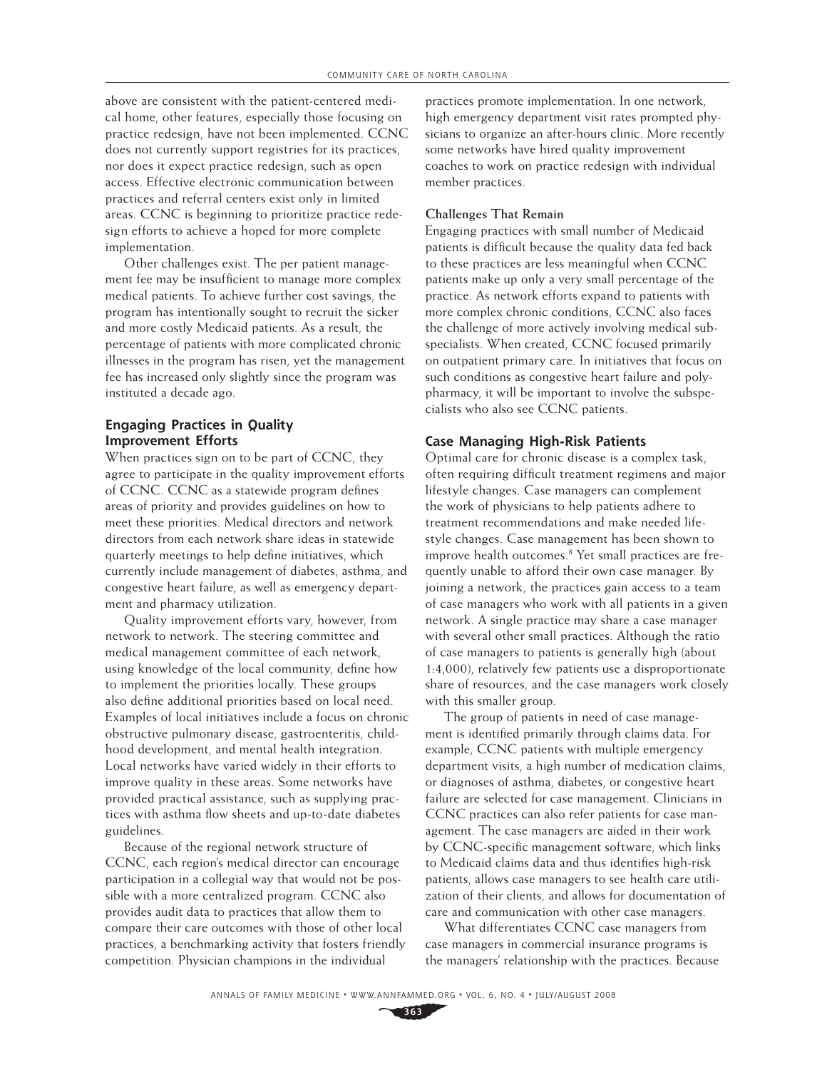above are consistent with the patient-centered medical home, other features, especially those focusing on practice redesign, have not been implemented. CCNC does not currently support registries for its practices, nor does it expect practice redesign, such as open access. Effective electronic communication between practices and referral centers exist only in limited areas. CCNC is beginning to prioritize practice redesign efforts to achieve a hoped for more complete implementation.

Other challenges exist. The per patient management fee may be insufficient to manage more complex medical patients. To achieve further cost savings, the program has intentionally sought to recruit the sicker and more costly Medicaid patients. As a result, the percentage of patients with more complicated chronic illnesses in the program has risen, yet the management fee has increased only slightly since the program was instituted a decade ago.

## **Engaging Practices in Quality Improvement Efforts**

When practices sign on to be part of CCNC, they agree to participate in the quality improvement efforts of CCNC. CCNC as a statewide program defines areas of priority and provides guidelines on how to meet these priorities. Medical directors and network directors from each network share ideas in statewide quarterly meetings to help define initiatives, which currently include management of diabetes, asthma, and congestive heart failure, as well as emergency department and pharmacy utilization.

Quality improvement efforts vary, however, from network to network. The steering committee and medical management committee of each network, using knowledge of the local community, define how to implement the priorities locally. These groups also define additional priorities based on local need. Examples of local initiatives include a focus on chronic obstructive pulmonary disease, gastroenteritis, childhood development, and mental health integration. Local networks have varied widely in their efforts to improve quality in these areas. Some networks have provided practical assistance, such as supplying practices with asthma flow sheets and up-to-date diabetes guidelines.

Because of the regional network structure of CCNC, each region's medical director can encourage participation in a collegial way that would not be possible with a more centralized program. CCNC also provides audit data to practices that allow them to compare their care outcomes with those of other local practices, a benchmarking activity that fosters friendly competition. Physician champions in the individual

practices promote implementation. In one network, high emergency department visit rates prompted physicians to organize an after-hours clinic. More recently some networks have hired quality improvement coaches to work on practice redesign with individual member practices.

#### **Challenges That Remain**

Engaging practices with small number of Medicaid patients is difficult because the quality data fed back to these practices are less meaningful when CCNC patients make up only a very small percentage of the practice. As network efforts expand to patients with more complex chronic conditions, CCNC also faces the challenge of more actively involving medical subspecialists. When created, CCNC focused primarily on outpatient primary care. In initiatives that focus on such conditions as congestive heart failure and polypharmacy, it will be important to involve the subspecialists who also see CCNC patients.

#### **Case Managing High-Risk Patients**

Optimal care for chronic disease is a complex task, often requiring difficult treatment regimens and major lifestyle changes. Case managers can complement the work of physicians to help patients adhere to treatment recommendations and make needed lifestyle changes. Case management has been shown to improve health outcomes.<sup>8</sup> Yet small practices are frequently unable to afford their own case manager. By joining a network, the practices gain access to a team of case managers who work with all patients in a given network. A single practice may share a case manager with several other small practices. Although the ratio of case managers to patients is generally high (about 1:4,000), relatively few patients use a disproportionate share of resources, and the case managers work closely with this smaller group.

The group of patients in need of case management is identified primarily through claims data. For example, CCNC patients with multiple emergency department visits, a high number of medication claims, or diagnoses of asthma, diabetes, or congestive heart failure are selected for case management. Clinicians in CCNC practices can also refer patients for case management. The case managers are aided in their work by CCNC-specific management software, which links to Medicaid claims data and thus identifies high-risk patients, allows case managers to see health care utilization of their clients, and allows for documentation of care and communication with other case managers.

What differentiates CCNC case managers from case managers in commercial insurance programs is the managers' relationship with the practices. Because

**<sup>363</sup>**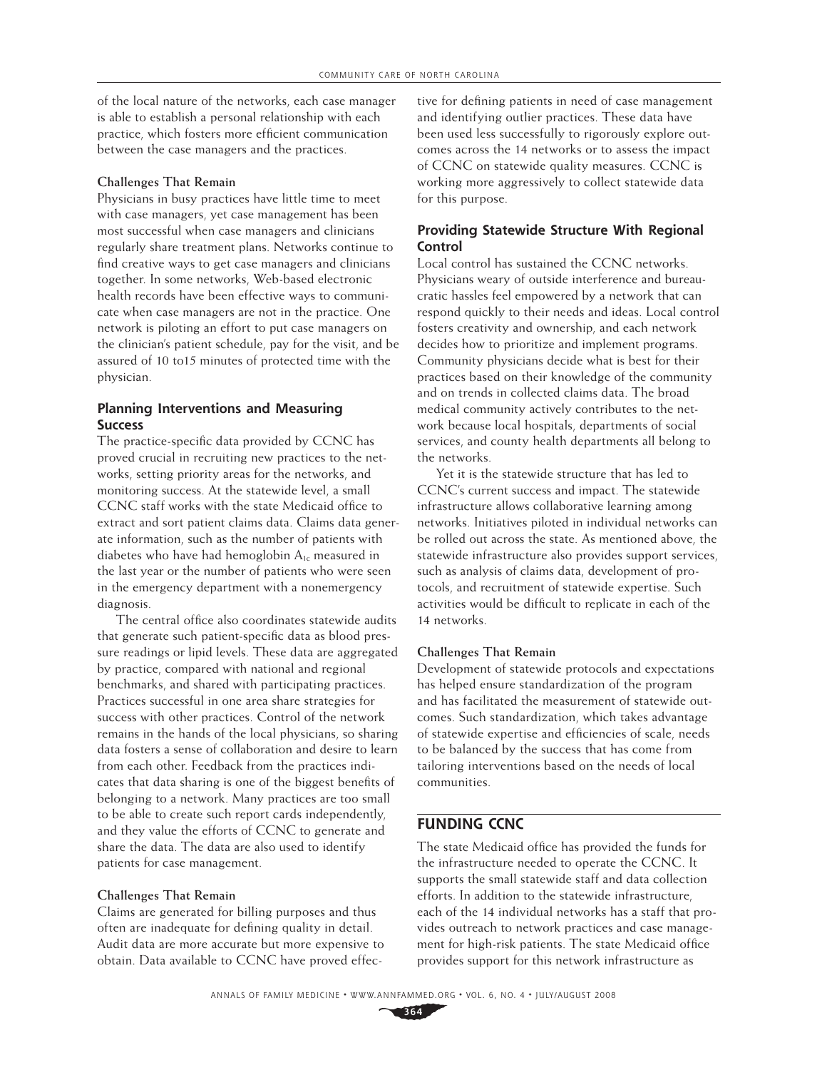of the local nature of the networks, each case manager is able to establish a personal relationship with each practice, which fosters more efficient communication between the case managers and the practices.

#### **Challenges That Remain**

Physicians in busy practices have little time to meet with case managers, yet case management has been most successful when case managers and clinicians regularly share treatment plans. Networks continue to find creative ways to get case managers and clinicians together. In some networks, Web-based electronic health records have been effective ways to communicate when case managers are not in the practice. One network is piloting an effort to put case managers on the clinician's patient schedule, pay for the visit, and be assured of 10 to15 minutes of protected time with the physician.

### **Planning Interventions and Measuring Success**

The practice-specific data provided by CCNC has proved crucial in recruiting new practices to the networks, setting priority areas for the networks, and monitoring success. At the statewide level, a small CCNC staff works with the state Medicaid office to extract and sort patient claims data. Claims data generate information, such as the number of patients with diabetes who have had hemoglobin  $A_{1c}$  measured in the last year or the number of patients who were seen in the emergency department with a nonemergency diagnosis.

The central office also coordinates statewide audits that generate such patient-specific data as blood pressure readings or lipid levels. These data are aggregated by practice, compared with national and regional benchmarks, and shared with participating practices. Practices successful in one area share strategies for success with other practices. Control of the network remains in the hands of the local physicians, so sharing data fosters a sense of collaboration and desire to learn from each other. Feedback from the practices indicates that data sharing is one of the biggest benefits of belonging to a network. Many practices are too small to be able to create such report cards independently, and they value the efforts of CCNC to generate and share the data. The data are also used to identify patients for case management.

#### **Challenges That Remain**

Claims are generated for billing purposes and thus often are inadequate for defining quality in detail. Audit data are more accurate but more expensive to obtain. Data available to CCNC have proved effec-

tive for defining patients in need of case management and identifying outlier practices. These data have been used less successfully to rigorously explore outcomes across the 14 networks or to assess the impact of CCNC on statewide quality measures. CCNC is working more aggressively to collect statewide data for this purpose.

## **Providing Statewide Structure With Regional Control**

Local control has sustained the CCNC networks. Physicians weary of outside interference and bureaucratic hassles feel empowered by a network that can respond quickly to their needs and ideas. Local control fosters creativity and ownership, and each network decides how to prioritize and implement programs. Community physicians decide what is best for their practices based on their knowledge of the community and on trends in collected claims data. The broad medical community actively contributes to the network because local hospitals, departments of social services, and county health departments all belong to the networks.

Yet it is the statewide structure that has led to CCNC's current success and impact. The statewide infrastructure allows collaborative learning among networks. Initiatives piloted in individual networks can be rolled out across the state. As mentioned above, the statewide infrastructure also provides support services, such as analysis of claims data, development of protocols, and recruitment of statewide expertise. Such activities would be difficult to replicate in each of the 14 networks.

#### **Challenges That Remain**

Development of statewide protocols and expectations has helped ensure standardization of the program and has facilitated the measurement of statewide outcomes. Such standardization, which takes advantage of statewide expertise and efficiencies of scale, needs to be balanced by the success that has come from tailoring interventions based on the needs of local communities.

## **FUNDING CCNC**

The state Medicaid office has provided the funds for the infrastructure needed to operate the CCNC. It supports the small statewide staff and data collection efforts. In addition to the statewide infrastructure, each of the 14 individual networks has a staff that provides outreach to network practices and case management for high-risk patients. The state Medicaid office provides support for this network infrastructure as

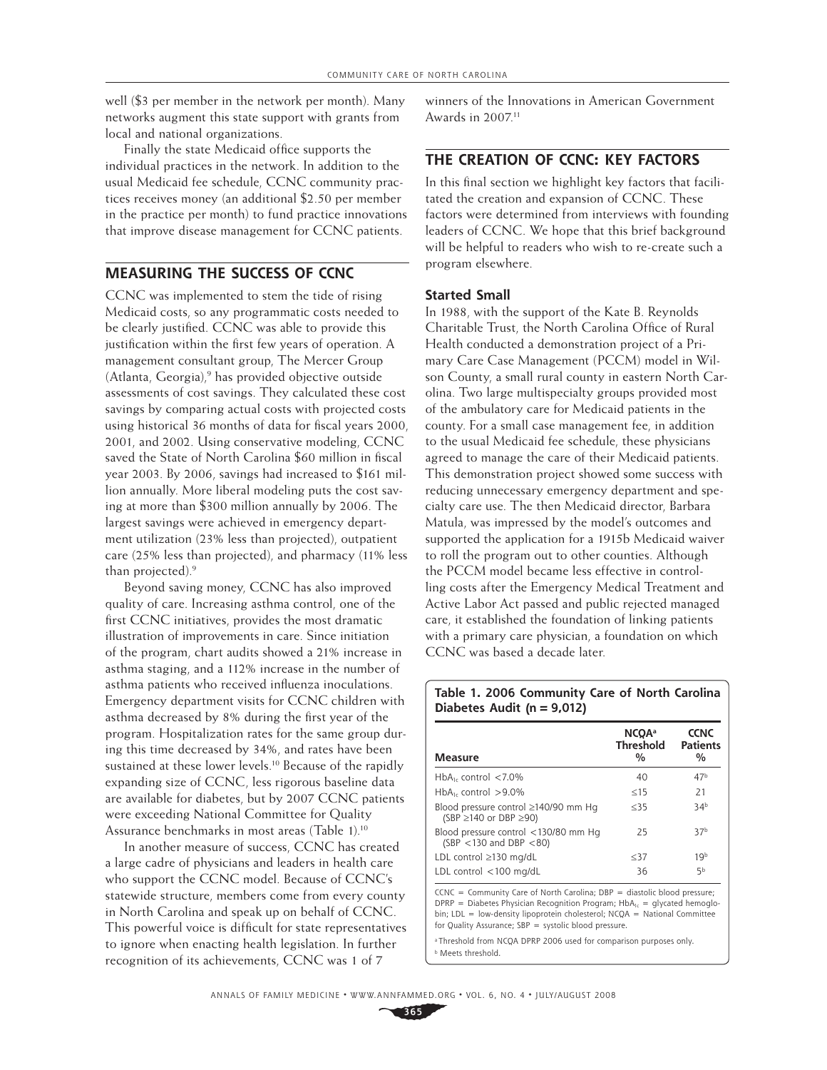well (\$3 per member in the network per month). Many networks augment this state support with grants from local and national organizations.

Finally the state Medicaid office supports the individual practices in the network. In addition to the usual Medicaid fee schedule, CCNC community practices receives money (an additional \$2.50 per member in the practice per month) to fund practice innovations that improve disease management for CCNC patients.

## **MEASURING THE SUCCESS OF CCNC**

CCNC was implemented to stem the tide of rising Medicaid costs, so any programmatic costs needed to be clearly justified. CCNC was able to provide this justification within the first few years of operation. A management consultant group, The Mercer Group (Atlanta, Georgia),<sup>9</sup> has provided objective outside assessments of cost savings. They calculated these cost savings by comparing actual costs with projected costs using historical 36 months of data for fiscal years 2000, 2001, and 2002. Using conservative modeling, CCNC saved the State of North Carolina \$60 million in fiscal year 2003. By 2006, savings had increased to \$161 million annually. More liberal modeling puts the cost saving at more than \$300 million annually by 2006. The largest savings were achieved in emergency department utilization (23% less than projected), outpatient care (25% less than projected), and pharmacy (11% less than projected).<sup>9</sup>

Beyond saving money, CCNC has also improved quality of care. Increasing asthma control, one of the first CCNC initiatives, provides the most dramatic illustration of improvements in care. Since initiation of the program, chart audits showed a 21% increase in asthma staging, and a 112% increase in the number of asthma patients who received influenza inoculations. Emergency department visits for CCNC children with asthma decreased by 8% during the first year of the program. Hospitalization rates for the same group during this time decreased by 34%, and rates have been sustained at these lower levels.<sup>10</sup> Because of the rapidly expanding size of CCNC, less rigorous baseline data are available for diabetes, but by 2007 CCNC patients were exceeding National Committee for Quality Assurance benchmarks in most areas (Table 1).10

In another measure of success, CCNC has created a large cadre of physicians and leaders in health care who support the CCNC model. Because of CCNC's statewide structure, members come from every county in North Carolina and speak up on behalf of CCNC. This powerful voice is difficult for state representatives to ignore when enacting health legislation. In further recognition of its achievements, CCNC was 1 of 7

winners of the Innovations in American Government Awards in 2007.<sup>11</sup>

## **THE CREATION OF CCNC: KEY FACTORS**

In this final section we highlight key factors that facilitated the creation and expansion of CCNC. These factors were determined from interviews with founding leaders of CCNC. We hope that this brief background will be helpful to readers who wish to re-create such a program elsewhere.

#### **Started Small**

In 1988, with the support of the Kate B. Reynolds Charitable Trust, the North Carolina Office of Rural Health conducted a demonstration project of a Primary Care Case Management (PCCM) model in Wilson County, a small rural county in eastern North Carolina. Two large multispecialty groups provided most of the ambulatory care for Medicaid patients in the county. For a small case management fee, in addition to the usual Medicaid fee schedule, these physicians agreed to manage the care of their Medicaid patients. This demonstration project showed some success with reducing unnecessary emergency department and specialty care use. The then Medicaid director, Barbara Matula, was impressed by the model's outcomes and supported the application for a 1915b Medicaid waiver to roll the program out to other counties. Although the PCCM model became less effective in controlling costs after the Emergency Medical Treatment and Active Labor Act passed and public rejected managed care, it established the foundation of linking patients with a primary care physician, a foundation on which CCNC was based a decade later.

### **Table 1. 2006 Community Care of North Carolina Diabetes Audit (n = 9,012)**

| <b>Measure</b>                                                           | <b>NCQA</b> <sup>a</sup><br><b>Threshold</b><br>$\frac{0}{0}$ | <b>CCNC</b><br><b>Patients</b><br>$\%$ |
|--------------------------------------------------------------------------|---------------------------------------------------------------|----------------------------------------|
| $HbA_1$ , control <7.0%                                                  | 40                                                            | 47 <sup>b</sup>                        |
| $HbA_1$ control > 9.0%                                                   | $<$ 15                                                        | 21                                     |
| Blood pressure control ≥140/90 mm Hg<br>$(SBP \ge 140$ or DBP $\ge 90$ ) | $<$ 35                                                        | 34 <sup>b</sup>                        |
| Blood pressure control <130/80 mm Hg<br>$(SBP < 130$ and DBP $< 80$ )    | 25                                                            | 37 <sup>b</sup>                        |
| LDL control $\geq$ 130 mg/dL                                             | $<$ 37                                                        | 10 <sup>b</sup>                        |
| LDL control <100 mg/dL                                                   | 36                                                            | 5b                                     |

 $CCNC = Commanity Care of North Carolina: DBP = diastolic blood pressure:$  $DPRP =$  Diabetes Physician Recognition Program;  $HbA_{1c} =$  glycated hemoglobin:  $LDL = low-density liponrotein cholesterol: NCOA = National Committee$ for Quality Assurance; SBP = systolic blood pressure.

<sup>a</sup> Threshold from NCQA DPRP 2006 used for comparison purposes only. **b** Meets threshold.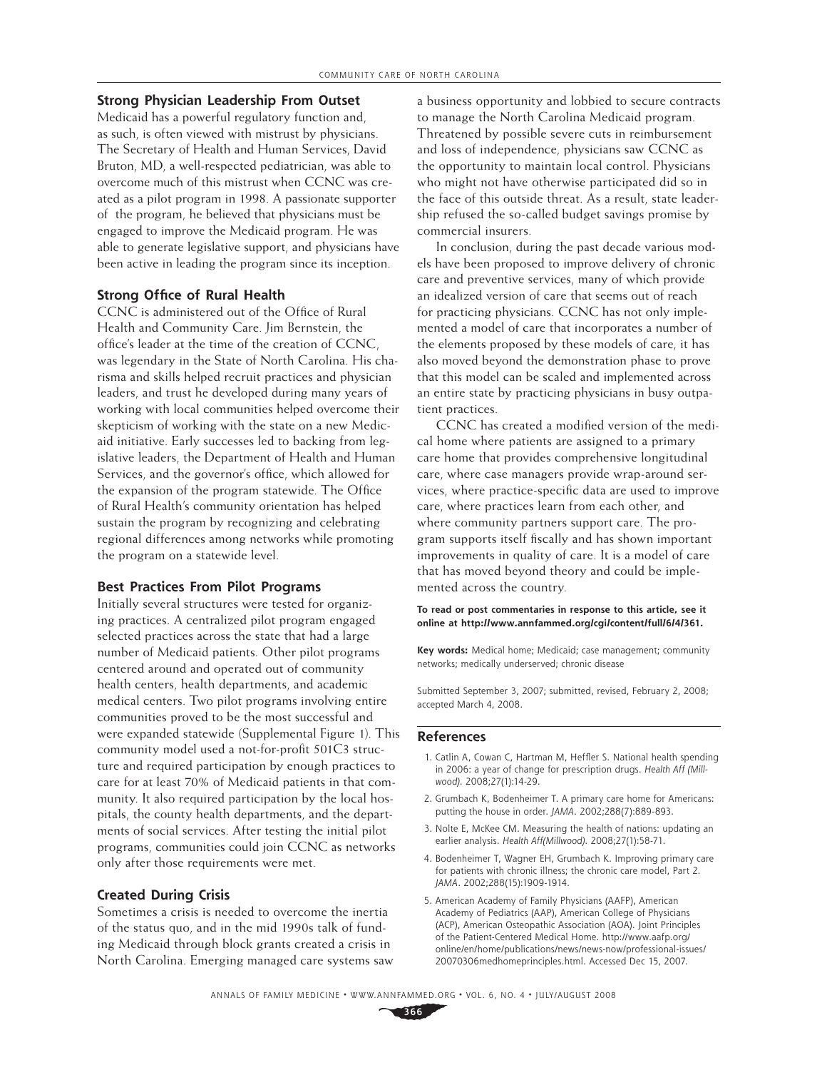## **Strong Physician Leadership From Outset**

Medicaid has a powerful regulatory function and, as such, is often viewed with mistrust by physicians. The Secretary of Health and Human Services, David Bruton, MD, a well-respected pediatrician, was able to overcome much of this mistrust when CCNC was created as a pilot program in 1998. A passionate supporter of the program, he believed that physicians must be engaged to improve the Medicaid program. He was able to generate legislative support, and physicians have been active in leading the program since its inception.

#### **Strong Office of Rural Health**

CCNC is administered out of the Office of Rural Health and Community Care. Jim Bernstein, the office's leader at the time of the creation of CCNC, was legendary in the State of North Carolina. His charisma and skills helped recruit practices and physician leaders, and trust he developed during many years of working with local communities helped overcome their skepticism of working with the state on a new Medicaid initiative. Early successes led to backing from legislative leaders, the Department of Health and Human Services, and the governor's office, which allowed for the expansion of the program statewide. The Office of Rural Health's community orientation has helped sustain the program by recognizing and celebrating regional differences among networks while promoting the program on a statewide level.

#### **Best Practices From Pilot Programs**

Initially several structures were tested for organizing practices. A centralized pilot program engaged selected practices across the state that had a large number of Medicaid patients. Other pilot programs centered around and operated out of community health centers, health departments, and academic medical centers. Two pilot programs involving entire communities proved to be the most successful and were expanded statewide (Supplemental Figure 1). This community model used a not-for-profit 501C3 structure and required participation by enough practices to care for at least 70% of Medicaid patients in that community. It also required participation by the local hospitals, the county health departments, and the departments of social services. After testing the initial pilot programs, communities could join CCNC as networks only after those requirements were met.

#### **Created During Crisis**

Sometimes a crisis is needed to overcome the inertia of the status quo, and in the mid 1990s talk of funding Medicaid through block grants created a crisis in North Carolina. Emerging managed care systems saw a business opportunity and lobbied to secure contracts to manage the North Carolina Medicaid program. Threatened by possible severe cuts in reimbursement and loss of independence, physicians saw CCNC as the opportunity to maintain local control. Physicians who might not have otherwise participated did so in the face of this outside threat. As a result, state leadership refused the so-called budget savings promise by commercial insurers.

In conclusion, during the past decade various models have been proposed to improve delivery of chronic care and preventive services, many of which provide an idealized version of care that seems out of reach for practicing physicians. CCNC has not only implemented a model of care that incorporates a number of the elements proposed by these models of care, it has also moved beyond the demonstration phase to prove that this model can be scaled and implemented across an entire state by practicing physicians in busy outpatient practices.

CCNC has created a modified version of the medical home where patients are assigned to a primary care home that provides comprehensive longitudinal care, where case managers provide wrap-around services, where practice-specific data are used to improve care, where practices learn from each other, and where community partners support care. The program supports itself fiscally and has shown important improvements in quality of care. It is a model of care that has moved beyond theory and could be implemented across the country.

#### **To read or post commentaries in response to this article, see it online at http://www.annfammed.org/cgi/content/full/6/4/361.**

**Key words:** Medical home; Medicaid; case management; community networks; medically underserved; chronic disease

Submitted September 3, 2007; submitted, revised, February 2, 2008; accepted March 4, 2008.

#### **References**

- 1. Catlin A, Cowan C, Hartman M, Heffler S. National health spending in 2006: a year of change for prescription drugs. Health Aff (Millwood). 2008;27(1):14-29.
- 2. Grumbach K, Bodenheimer T. A primary care home for Americans: putting the house in order. JAMA. 2002;288(7):889-893.
- 3. Nolte E, McKee CM. Measuring the health of nations: updating an earlier analysis. Health Aff(Millwood). 2008;27(1):58-71.
- 4. Bodenheimer T, Wagner EH, Grumbach K. Improving primary care for patients with chronic illness; the chronic care model, Part 2. JAMA. 2002;288(15):1909-1914.
- 5. American Academy of Family Physicians (AAFP), American Academy of Pediatrics (AAP), American College of Physicians (ACP), American Osteopathic Association (AOA). Joint Principles of the Patient-Centered Medical Home. http://www.aafp.org/ online/en/home/publications/news/news-now/professional-issues/ 20070306medhomeprinciples.html. Accessed Dec 15, 2007.

ANNALS OF FAMILY MEDICINE ✦ WWW.ANNFAMMED.ORG ✦ VOL. 6, NO. 4 ✦ JULY/AUGUST 2008

**366**